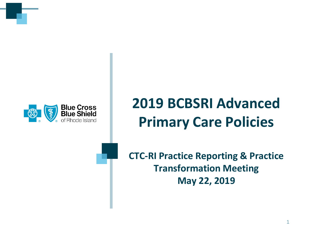

# **2019 BCBSRI Advanced Primary Care Policies**

**CTC-RI Practice Reporting & Practice Transformation Meeting May 22, 2019**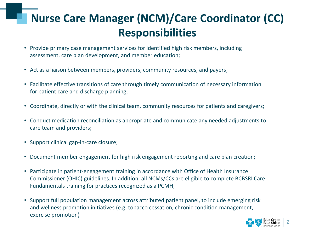## **Nurse Care Manager (NCM)/Care Coordinator (CC) Responsibilities**

- Provide primary case management services for identified high risk members, including assessment, care plan development, and member education;
- Act as a liaison between members, providers, community resources, and payers;
- Facilitate effective transitions of care through timely communication of necessary information for patient care and discharge planning;
- Coordinate, directly or with the clinical team, community resources for patients and caregivers;
- Conduct medication reconciliation as appropriate and communicate any needed adjustments to care team and providers;
- Support clinical gap-in-care closure;
- Document member engagement for high risk engagement reporting and care plan creation;
- Participate in patient-engagement training in accordance with Office of Health Insurance Commissioner (OHIC) guidelines. In addition, all NCMs/CCs are eligible to complete BCBSRI Care Fundamentals training for practices recognized as a PCMH;
- Support full population management across attributed patient panel, to include emerging risk and wellness promotion initiatives (e.g. tobacco cessation, chronic condition management, exercise promotion)

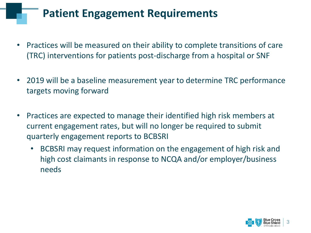### **Patient Engagement Requirements**

- Practices will be measured on their ability to complete transitions of care (TRC) interventions for patients post-discharge from a hospital or SNF
- 2019 will be a baseline measurement year to determine TRC performance targets moving forward
- Practices are expected to manage their identified high risk members at current engagement rates, but will no longer be required to submit quarterly engagement reports to BCBSRI
	- BCBSRI may request information on the engagement of high risk and high cost claimants in response to NCQA and/or employer/business needs

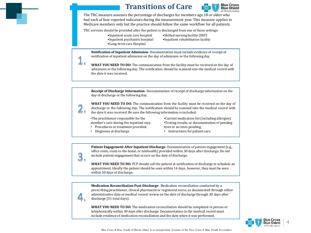#### **Transitions of Care**



The TRC measure assesses the percentage of discharges for members age 18 or older who had each of four reported indicators during the measurement year. This measure applies to Medicare members only but the practice should follow the same workflow for all patients.

TRC services should be provided after the patient is discharged from one of these settings:

- •Inpatient acute care hospital
- •Inpatient psychiatric hospital •Skilled nursing facility (SNF)
- •Long-term care Hospital
- •Inpatient rehabilitation facility
- 

**Notification of Inpatient Admission-** Documentation must include evidence of receipt of notification of inpatient admission on the day of admission or the following day.

**WHAT YOU NEED TO DO:** The communication from the facility must be received on the day of admission or the following day. The notification should be scanned into the medical record with the date it was received.

**Receipt of Discharge Information-** Documentation of receipt of discharge information on the day of discharge or the following day**.**



3.

4.

1.

**WHAT YOU NEED TO DO:** The communication from the facility must be received on the day of discharge or the following day. The notification should be scanned into the medical record with the date it was received. Be sure the following information is included:

•The practitioner responsible for the member's care during the inpatient stay.

- Procedures or treatment provided.
- Diagnoses at discharge.
- •Current medication list(including allergies). •Testing results, or documentation of pending tests or no tests pending.
- Instructions for patient care.

**Patient Engagement After Inpatient Discharge-** Documentation of patient engagement(e.g., office visits, visits to the home, or telehealth) provided within 30 days after discharge. Do not include patient engagement that occurs on the date of discharge.

**WHAT YOU NEED TO DO:** PCP should call the patient at notification of discharge to schedule an appointment. Ideally the patient should be seen within 14 days, however, they must be seen within 30 days of discharge.

**Medication Reconciliation Post-Discharge-** Medication reconciliation conducted by a prescribing practitioner, clinical pharmacist or registered nurse, as documented through either administrative data or medical record reviewon the date of discharge through 30 days after discharge (31 total days).

**WHAT YOU NEED TO DO:** The medication reconciliation should be completed in person or telephonically within 30 days after discharge. Documentation in the medical record must include evidence of medication reconciliation and the date when it was performed.

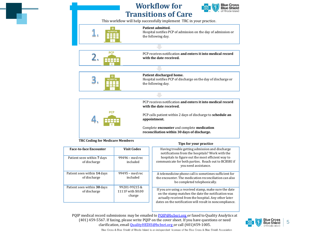



This workflow will help successfully implement TRC in your practice.



Hospital notifies PCP of discharge on the day of discharge or the following day.



PCP receives notification **and enters itinto medical record with the date received.**

PCP calls patient within 2 days of discharge to **schedule an appointment.**

**Tips for your practice**

Complete **encounter** and complete **medication reconciliation within 30 days of discharge.**

**TRC Coding for Medicare Members**

| <b>Face-to-face Encounter</b>               | <b>Visit Codes</b>                          | Having trouble getting admission and discharge<br>notifications from the hospitals? Work with the<br>hospitals to figure out the most efficient way to<br>communicate for both parties. Reach out to BCBSRI if<br>you need assistance. |
|---------------------------------------------|---------------------------------------------|----------------------------------------------------------------------------------------------------------------------------------------------------------------------------------------------------------------------------------------|
| Patient seen within 7 days<br>of discharge  | $99496$ – med rec<br>included               |                                                                                                                                                                                                                                        |
| Patient seen within 14 days<br>of discharge | $99495$ – med rec<br>included               | A telemedicine phone call is sometimes sufficient for<br>the encounter. The medication reconciliation can also<br>be completed telephonically.                                                                                         |
| Patient seen within 30 days<br>of discharge | 99201-99215&<br>1111F with \$0.00<br>charge | If you are using a received stamp, make sure the date<br>on the stamp matches the date the notification was<br>actually received from the hospital. Any other later<br>dates on the notification will result in noncompliance.         |

PQIP medical record submissions may be emailed to [PQIP@bcbsri.org](mailto:PQIP@bcbsri.org) or faxed to Quality Analytics at (401) 459-5567. If faxing, please write PQIP on the cover sheet. If you have questions or need clarification, email **[QualityHEDIS@bcbsri.org](mailto:QualityHEDIS@bcbsri.org)** or call (401)459-1005.



Blue Cross & Blue Shield of Rhode Island is an independent licensee of the Blue Cross & Blue Shield Association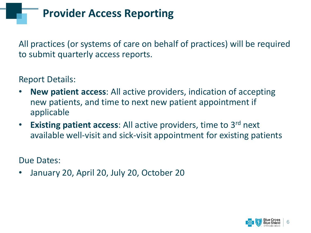**Provider Access Reporting**

All practices (or systems of care on behalf of practices) will be required to submit quarterly access reports.

Report Details:

- **New patient access**: All active providers, indication of accepting new patients, and time to next new patient appointment if applicable
- **Existing patient access**: All active providers, time to 3rd next available well-visit and sick-visit appointment for existing patients

Due Dates:

• January 20, April 20, July 20, October 20

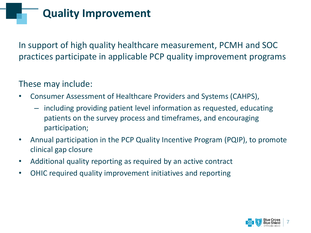### **Quality Improvement**

In support of high quality healthcare measurement, PCMH and SOC practices participate in applicable PCP quality improvement programs

These may include:

- Consumer Assessment of Healthcare Providers and Systems (CAHPS),
	- including providing patient level information as requested, educating patients on the survey process and timeframes, and encouraging participation;
- Annual participation in the PCP Quality Incentive Program (PQIP), to promote clinical gap closure
- Additional quality reporting as required by an active contract
- OHIC required quality improvement initiatives and reporting